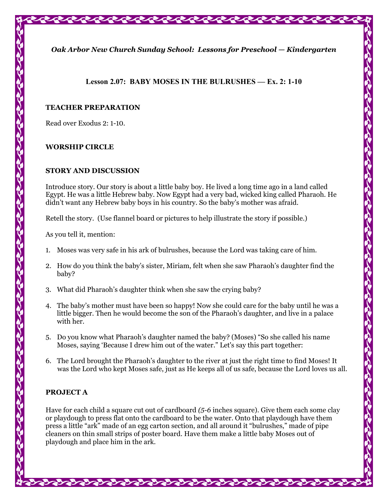*Oak Arbor New Church Sunday School: Lessons for Preschool — Kindergarten* 

## **Lesson 2.07: BABY MOSES IN THE BULRUSHES — Ex. 2: 1-10**

#### **TEACHER PREPARATION**

Read over Exodus 2: 1-10.

## **WORSHIP CIRCLE**

#### **STORY AND DISCUSSION**

Introduce story. Our story is about a little baby boy. He lived a long time ago in a land called Egypt. He was a little Hebrew baby. Now Egypt had a very bad, wicked king called Pharaoh. He didn't want any Hebrew baby boys in his country. So the baby's mother was afraid.

Retell the story. (Use flannel board or pictures to help illustrate the story if possible.)

As you tell it, mention:

- 1. Moses was very safe in his ark of bulrushes, because the Lord was taking care of him.
- 2. How do you think the baby's sister, Miriam, felt when she saw Pharaoh's daughter find the baby?
- 3. What did Pharaoh's daughter think when she saw the crying baby?
- 4. The baby's mother must have been so happy! Now she could care for the baby until he was a little bigger. Then he would become the son of the Pharaoh's daughter, and live in a palace with her.
- 5. Do you know what Pharaoh's daughter named the baby? (Moses) "So she called his name Moses, saying 'Because I drew him out of the water." Let's say this part together:
- 6. The Lord brought the Pharaoh's daughter to the river at just the right time to find Moses! It was the Lord who kept Moses safe, just as He keeps all of us safe, because the Lord loves us all.

# **PROJECT A**

Have for each child a square cut out of cardboard *(5-6* inches square). Give them each some clay or playdough to press flat onto the cardboard to be the water. Onto that playdough have them press a little "ark" made of an egg carton section, and all around it "bulrushes," made of pipe cleaners on thin small strips of poster board. Have them make a little baby Moses out of playdough and place him in the ark.